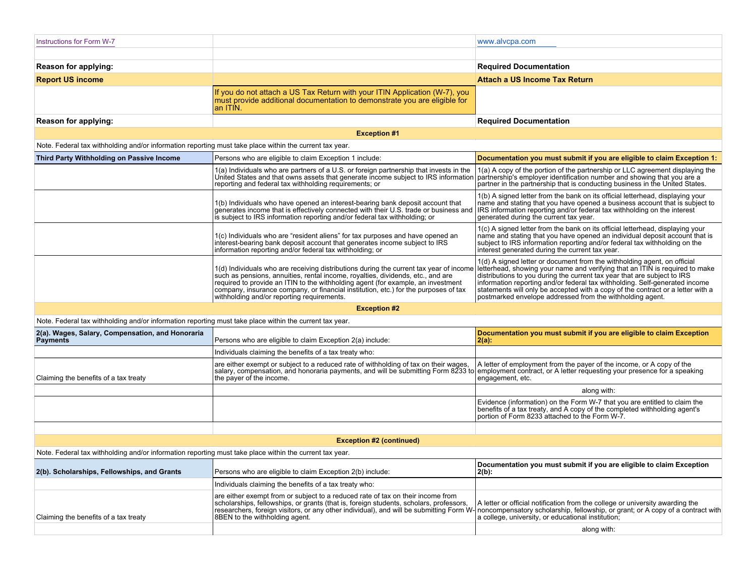| <b>Instructions for Form W-7</b>                                                                        |                                                                                                                                                                                                                                                                                                                                                                                                    | www.alvcpa.com                                                                                                                                                                                                                                                                                                                                                                                                                                                      |  |  |
|---------------------------------------------------------------------------------------------------------|----------------------------------------------------------------------------------------------------------------------------------------------------------------------------------------------------------------------------------------------------------------------------------------------------------------------------------------------------------------------------------------------------|---------------------------------------------------------------------------------------------------------------------------------------------------------------------------------------------------------------------------------------------------------------------------------------------------------------------------------------------------------------------------------------------------------------------------------------------------------------------|--|--|
|                                                                                                         |                                                                                                                                                                                                                                                                                                                                                                                                    |                                                                                                                                                                                                                                                                                                                                                                                                                                                                     |  |  |
| Reason for applying:                                                                                    |                                                                                                                                                                                                                                                                                                                                                                                                    | <b>Required Documentation</b>                                                                                                                                                                                                                                                                                                                                                                                                                                       |  |  |
| <b>Report US income</b>                                                                                 |                                                                                                                                                                                                                                                                                                                                                                                                    | <b>Attach a US Income Tax Return</b>                                                                                                                                                                                                                                                                                                                                                                                                                                |  |  |
|                                                                                                         | If you do not attach a US Tax Return with your ITIN Application (W-7), you<br>must provide additional documentation to demonstrate you are eligible for<br>an ITIN                                                                                                                                                                                                                                 |                                                                                                                                                                                                                                                                                                                                                                                                                                                                     |  |  |
| Reason for applying:                                                                                    |                                                                                                                                                                                                                                                                                                                                                                                                    | <b>Required Documentation</b>                                                                                                                                                                                                                                                                                                                                                                                                                                       |  |  |
| <b>Exception #1</b>                                                                                     |                                                                                                                                                                                                                                                                                                                                                                                                    |                                                                                                                                                                                                                                                                                                                                                                                                                                                                     |  |  |
| Note. Federal tax withholding and/or information reporting must take place within the current tax year. |                                                                                                                                                                                                                                                                                                                                                                                                    |                                                                                                                                                                                                                                                                                                                                                                                                                                                                     |  |  |
| Third Party Withholding on Passive Income                                                               | Persons who are eligible to claim Exception 1 include:                                                                                                                                                                                                                                                                                                                                             | Documentation you must submit if you are eligible to claim Exception 1:                                                                                                                                                                                                                                                                                                                                                                                             |  |  |
|                                                                                                         | 1(a) Individuals who are partners of a U.S. or foreign partnership that invests in the<br>United States and that owns assets that generate income subject to IRS information<br>reporting and federal tax withholding requirements; or                                                                                                                                                             | 1(a) A copy of the portion of the partnership or LLC agreement displaying the<br>partnership's employer identification number and showing that you are a<br>partner in the partnership that is conducting business in the United States.                                                                                                                                                                                                                            |  |  |
|                                                                                                         | 1(b) Individuals who have opened an interest-bearing bank deposit account that generates income that is effectively connected with their U.S. trade or business and<br>is subject to IRS information reporting and/or federal tax withholding; or                                                                                                                                                  | 1(b) A signed letter from the bank on its official letterhead, displaying your<br>name and stating that you have opened a business account that is subject to<br>IRS information reporting and/or federal tax withholding on the interest<br>generated during the current tax year.                                                                                                                                                                                 |  |  |
|                                                                                                         | 1(c) Individuals who are "resident aliens" for tax purposes and have opened an<br>interest-bearing bank deposit account that generates income subject to IRS<br>information reporting and/or federal tax withholding; or                                                                                                                                                                           | 1(c) A signed letter from the bank on its official letterhead, displaying your<br>name and stating that you have opened an individual deposit account that is<br>subject to IRS information reporting and/or federal tax withholding on the<br>interest generated during the current tax year.                                                                                                                                                                      |  |  |
|                                                                                                         | 1(d) Individuals who are receiving distributions during the current tax year of income<br>such as pensions, annuities, rental income, royalties, dividends, etc., and are<br>required to provide an ITIN to the withholding agent (for example, an investment<br>company, insurance company, or financial institution, etc.) for the purposes of tax<br>withholding and/or reporting requirements. | 1(d) A signed letter or document from the withholding agent, on official<br>letterhead, showing your name and verifying that an ITIN is required to make<br>distributions to you during the current tax year that are subject to IRS<br>information reporting and/or federal tax withholding. Self-generated income<br>statements will only be accepted with a copy of the contract or a letter with a<br>postmarked envelope addressed from the withholding agent. |  |  |
| <b>Exception #2</b>                                                                                     |                                                                                                                                                                                                                                                                                                                                                                                                    |                                                                                                                                                                                                                                                                                                                                                                                                                                                                     |  |  |
| Note. Federal tax withholding and/or information reporting must take place within the current tax year. |                                                                                                                                                                                                                                                                                                                                                                                                    |                                                                                                                                                                                                                                                                                                                                                                                                                                                                     |  |  |
| 2(a). Wages, Salary, Compensation, and Honoraria<br><b>Payments</b>                                     | Persons who are eligible to claim Exception 2(a) include:                                                                                                                                                                                                                                                                                                                                          | Documentation you must submit if you are eligible to claim Exception<br>$2(a)$ :                                                                                                                                                                                                                                                                                                                                                                                    |  |  |
|                                                                                                         | Individuals claiming the benefits of a tax treaty who:                                                                                                                                                                                                                                                                                                                                             |                                                                                                                                                                                                                                                                                                                                                                                                                                                                     |  |  |
| Claiming the benefits of a tax treaty                                                                   | are either exempt or subject to a reduced rate of withholding of tax on their wages,<br>salary, compensation, and honoraria payments, and will be submitting Form 8233 to employment contract, or A letter requesting your presence for a speaking<br>the payer of the income.                                                                                                                     | A letter of employment from the payer of the income, or A copy of the<br>engagement, etc.                                                                                                                                                                                                                                                                                                                                                                           |  |  |
|                                                                                                         |                                                                                                                                                                                                                                                                                                                                                                                                    | along with:                                                                                                                                                                                                                                                                                                                                                                                                                                                         |  |  |
|                                                                                                         |                                                                                                                                                                                                                                                                                                                                                                                                    | Evidence (information) on the Form W-7 that you are entitled to claim the<br>benefits of a tax treaty, and A copy of the completed withholding agent's portion of Form 8233 attached to the Form W-7.                                                                                                                                                                                                                                                               |  |  |
|                                                                                                         |                                                                                                                                                                                                                                                                                                                                                                                                    |                                                                                                                                                                                                                                                                                                                                                                                                                                                                     |  |  |

## **Exception #2 (continued)**

Note. Federal tax withholding and/or information reporting must take place within the current tax year.

| 2(b). Scholarships, Fellowships, and Grants | Persons who are eligible to claim Exception 2(b) include:                                                                                                                                                                                                                                                                                                                              | Documentation you must submit if you are eligible to claim Exception<br> 2(b):                                                      |
|---------------------------------------------|----------------------------------------------------------------------------------------------------------------------------------------------------------------------------------------------------------------------------------------------------------------------------------------------------------------------------------------------------------------------------------------|-------------------------------------------------------------------------------------------------------------------------------------|
|                                             | Individuals claiming the benefits of a tax treaty who:                                                                                                                                                                                                                                                                                                                                 |                                                                                                                                     |
| Claiming the benefits of a tax treaty       | are either exempt from or subject to a reduced rate of tax on their income from<br>scholarships, fellowships, or grants (that is, foreign students, scholars, professors,<br>researchers, foreign visitors, or any other individual), and will be submitting Form W- noncompensatory scholarship, fellowship, or grant; or A copy of a contract with<br>8BEN to the withholding agent. | A letter or official notification from the college or university awarding the<br>a college, university, or educational institution; |
|                                             |                                                                                                                                                                                                                                                                                                                                                                                        | along with:                                                                                                                         |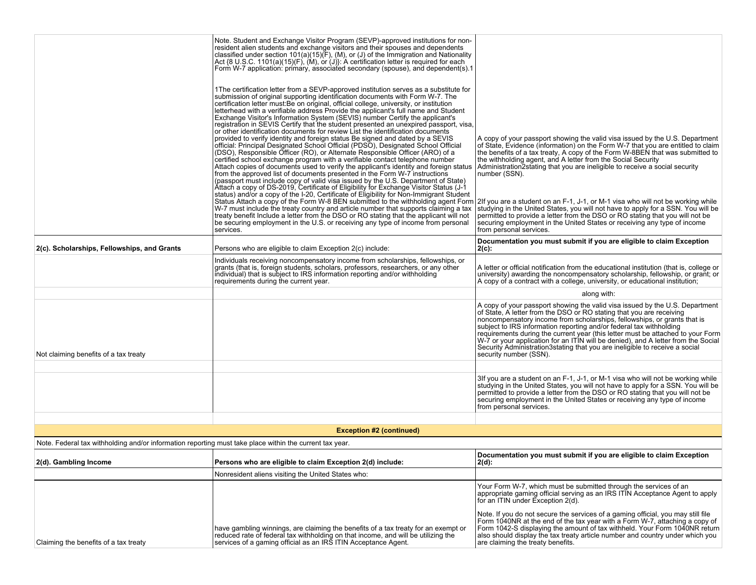| 2(c). Scholarships, Fellowships, and Grants<br>Not claiming benefits of a tax treaty                    | Note. Student and Exchange Visitor Program (SEVP)-approved institutions for non-<br>resident alien students and exchange visitors and their spouses and dependents classified under section $101(a)(15)(F)$ , (M), or (J) of the Immigration and Nationality<br>Act {8 U.S.C. 1101(a)(15)(F), (M), or (J)}: A certification letter is required for each<br>Form W-7 application: primary, associated secondary (spouse), and dependent(s).1<br>1The certification letter from a SEVP-approved institution serves as a substitute for<br>submission of original supporting identification documents with Form W-7. The<br>certification letter must: Be on original, official college, university, or institution<br>letterhead with a verifiable address Provide the applicant's full name and Student<br>Exchange Visitor's Information System (SEVIS) number Certify the applicant's<br>registration in SEVIS Certify that the student presented an unexpired passport, visa,<br>or other identification documents for review List the identification documents<br>provided to verify identity and foreign status Be signed and dated by a SEVIS<br>official: Principal Designated School Official (PDSO), Designated School Official<br>(DSO), Responsible Officer (RO), or Alternate Responsible Officer (ARO) of a<br>certified school exchange program with a verifiable contact telephone number<br>Attach copies of documents used to verify the applicant's identity and foreign status<br>from the approved list of documents presented in the Form W-7 instructions<br>(passport must include copy of valid visa issued by the U.S. Department of State)<br>Attach a copy of DS-2019, Certificate of Eligibility for Exchange Visitor Status (J-1 status) and/or a copy of the I-20, Certificate of Eligibility for Non-Immigrant Student<br>Status Attach a copy of the Form W-8 BEN submitted to the withholding agent Form<br>W-7 must include the treaty country and article number that supports claiming a tax<br>treaty benefit Include a letter from the DSO or RO stating that the applicant will not<br>be securing employment in the U.S. or receiving any type of income from personal<br>services.<br>Persons who are eligible to claim Exception 2(c) include:<br>Individuals receiving noncompensatory income from scholarships, fellowships, or<br>grants (that is, foreign students, scholars, professors, researchers, or any other<br>individual) that is subject to IRS information reporting and/or withholding<br>requirements during the current year. | A copy of your passport showing the valid visa issued by the U.S. Department<br>of State, Evidence (information) on the Form W-7 that you are entitled to claim<br>the benefits of a tax treaty, A copy of the Form W-8BEN that was submitted to<br>the withholding agent, and A letter from the Social Security<br>Administration 2stating that you are ineligible to receive a social security<br>number (SSN).<br>2If you are a student on an F-1, J-1, or M-1 visa who will not be working while<br>studying in the United States, you will not have to apply for a SSN. You will be<br>permitted to provide a letter from the DSO or RO stating that you will not be<br>securing employment in the United States or receiving any type of income<br>from personal services.<br>Documentation you must submit if you are eligible to claim Exception<br>$2(c)$ :<br>A letter or official notification from the educational institution (that is, college or<br>university) awarding the noncompensatory scholarship, fellowship, or grant; or<br>A copy of a contract with a college, university, or educational institution;<br>along with:<br>A copy of your passport showing the valid visa issued by the U.S. Department<br>of State, A letter from the DSO or RO stating that you are receiving<br>noncompensatory income from scholarships, fellowships, or grants that is<br>subject to IRS information reporting and/or federal tax withholding<br>requirements during the current year (this letter must be attached to your Form<br>W-7 or your application for an ITIN will be denied), and A letter from the Social<br>Security Administration3stating that you are ineligible to receive a social<br>security number (SSN). |  |  |
|---------------------------------------------------------------------------------------------------------|------------------------------------------------------------------------------------------------------------------------------------------------------------------------------------------------------------------------------------------------------------------------------------------------------------------------------------------------------------------------------------------------------------------------------------------------------------------------------------------------------------------------------------------------------------------------------------------------------------------------------------------------------------------------------------------------------------------------------------------------------------------------------------------------------------------------------------------------------------------------------------------------------------------------------------------------------------------------------------------------------------------------------------------------------------------------------------------------------------------------------------------------------------------------------------------------------------------------------------------------------------------------------------------------------------------------------------------------------------------------------------------------------------------------------------------------------------------------------------------------------------------------------------------------------------------------------------------------------------------------------------------------------------------------------------------------------------------------------------------------------------------------------------------------------------------------------------------------------------------------------------------------------------------------------------------------------------------------------------------------------------------------------------------------------------------------------------------------------------------------------------------------------------------------------------------------------------------------------------------------------------------------------------------------------------------------------------------------------------------------------------------------------------------------------------------------------------------------------------------------------------------------------------------------------------------------------------------|----------------------------------------------------------------------------------------------------------------------------------------------------------------------------------------------------------------------------------------------------------------------------------------------------------------------------------------------------------------------------------------------------------------------------------------------------------------------------------------------------------------------------------------------------------------------------------------------------------------------------------------------------------------------------------------------------------------------------------------------------------------------------------------------------------------------------------------------------------------------------------------------------------------------------------------------------------------------------------------------------------------------------------------------------------------------------------------------------------------------------------------------------------------------------------------------------------------------------------------------------------------------------------------------------------------------------------------------------------------------------------------------------------------------------------------------------------------------------------------------------------------------------------------------------------------------------------------------------------------------------------------------------------------------------------------------------------------------------------------------|--|--|
|                                                                                                         |                                                                                                                                                                                                                                                                                                                                                                                                                                                                                                                                                                                                                                                                                                                                                                                                                                                                                                                                                                                                                                                                                                                                                                                                                                                                                                                                                                                                                                                                                                                                                                                                                                                                                                                                                                                                                                                                                                                                                                                                                                                                                                                                                                                                                                                                                                                                                                                                                                                                                                                                                                                          | 3If you are a student on an F-1, J-1, or M-1 visa who will not be working while<br>studying in the United States, you will not have to apply for a SSN. You will be<br>permitted to provide a letter from the DSO or RO stating that you will not be<br>securing employment in the United States or receiving any type of income<br>from personal services.                                                                                                                                                                                                                                                                                                                                                                                                                                                                                                                                                                                                                                                                                                                                                                                                                                                                                                                                                                                                                                                                                                                                                                                                                                                                                                                                                                                  |  |  |
|                                                                                                         |                                                                                                                                                                                                                                                                                                                                                                                                                                                                                                                                                                                                                                                                                                                                                                                                                                                                                                                                                                                                                                                                                                                                                                                                                                                                                                                                                                                                                                                                                                                                                                                                                                                                                                                                                                                                                                                                                                                                                                                                                                                                                                                                                                                                                                                                                                                                                                                                                                                                                                                                                                                          |                                                                                                                                                                                                                                                                                                                                                                                                                                                                                                                                                                                                                                                                                                                                                                                                                                                                                                                                                                                                                                                                                                                                                                                                                                                                                                                                                                                                                                                                                                                                                                                                                                                                                                                                              |  |  |
| <b>Exception #2 (continued)</b>                                                                         |                                                                                                                                                                                                                                                                                                                                                                                                                                                                                                                                                                                                                                                                                                                                                                                                                                                                                                                                                                                                                                                                                                                                                                                                                                                                                                                                                                                                                                                                                                                                                                                                                                                                                                                                                                                                                                                                                                                                                                                                                                                                                                                                                                                                                                                                                                                                                                                                                                                                                                                                                                                          |                                                                                                                                                                                                                                                                                                                                                                                                                                                                                                                                                                                                                                                                                                                                                                                                                                                                                                                                                                                                                                                                                                                                                                                                                                                                                                                                                                                                                                                                                                                                                                                                                                                                                                                                              |  |  |
| Note. Federal tax withholding and/or information reporting must take place within the current tax year. |                                                                                                                                                                                                                                                                                                                                                                                                                                                                                                                                                                                                                                                                                                                                                                                                                                                                                                                                                                                                                                                                                                                                                                                                                                                                                                                                                                                                                                                                                                                                                                                                                                                                                                                                                                                                                                                                                                                                                                                                                                                                                                                                                                                                                                                                                                                                                                                                                                                                                                                                                                                          |                                                                                                                                                                                                                                                                                                                                                                                                                                                                                                                                                                                                                                                                                                                                                                                                                                                                                                                                                                                                                                                                                                                                                                                                                                                                                                                                                                                                                                                                                                                                                                                                                                                                                                                                              |  |  |
| 2(d). Gambling Income                                                                                   | Persons who are eligible to claim Exception 2(d) include:                                                                                                                                                                                                                                                                                                                                                                                                                                                                                                                                                                                                                                                                                                                                                                                                                                                                                                                                                                                                                                                                                                                                                                                                                                                                                                                                                                                                                                                                                                                                                                                                                                                                                                                                                                                                                                                                                                                                                                                                                                                                                                                                                                                                                                                                                                                                                                                                                                                                                                                                | Documentation you must submit if you are eligible to claim Exception<br>$2(d)$ :                                                                                                                                                                                                                                                                                                                                                                                                                                                                                                                                                                                                                                                                                                                                                                                                                                                                                                                                                                                                                                                                                                                                                                                                                                                                                                                                                                                                                                                                                                                                                                                                                                                             |  |  |
|                                                                                                         | Nonresident aliens visiting the United States who:                                                                                                                                                                                                                                                                                                                                                                                                                                                                                                                                                                                                                                                                                                                                                                                                                                                                                                                                                                                                                                                                                                                                                                                                                                                                                                                                                                                                                                                                                                                                                                                                                                                                                                                                                                                                                                                                                                                                                                                                                                                                                                                                                                                                                                                                                                                                                                                                                                                                                                                                       |                                                                                                                                                                                                                                                                                                                                                                                                                                                                                                                                                                                                                                                                                                                                                                                                                                                                                                                                                                                                                                                                                                                                                                                                                                                                                                                                                                                                                                                                                                                                                                                                                                                                                                                                              |  |  |
|                                                                                                         |                                                                                                                                                                                                                                                                                                                                                                                                                                                                                                                                                                                                                                                                                                                                                                                                                                                                                                                                                                                                                                                                                                                                                                                                                                                                                                                                                                                                                                                                                                                                                                                                                                                                                                                                                                                                                                                                                                                                                                                                                                                                                                                                                                                                                                                                                                                                                                                                                                                                                                                                                                                          | Your Form W-7, which must be submitted through the services of an<br>appropriate gaming official serving as an IRS ITIN Acceptance Agent to apply<br>for an ITIN under Exception 2(d).                                                                                                                                                                                                                                                                                                                                                                                                                                                                                                                                                                                                                                                                                                                                                                                                                                                                                                                                                                                                                                                                                                                                                                                                                                                                                                                                                                                                                                                                                                                                                       |  |  |

have gambling winnings, are claiming the benefits of a tax treaty for an exempt or<br>reduced rate of federal tax withholding on that income, and will be utilizing the<br>services of a gaming official as an IRS ITIN Acceptance A

Note. If you do not secure the services of a gaming official, you may still file<br>Form 1040NR at the end of the tax year with a Form W-7, attaching a copy of<br>Form 1042NB displaying the amount of tax withheld. Your Form 1040

Claiming the benefits of a tax treaty